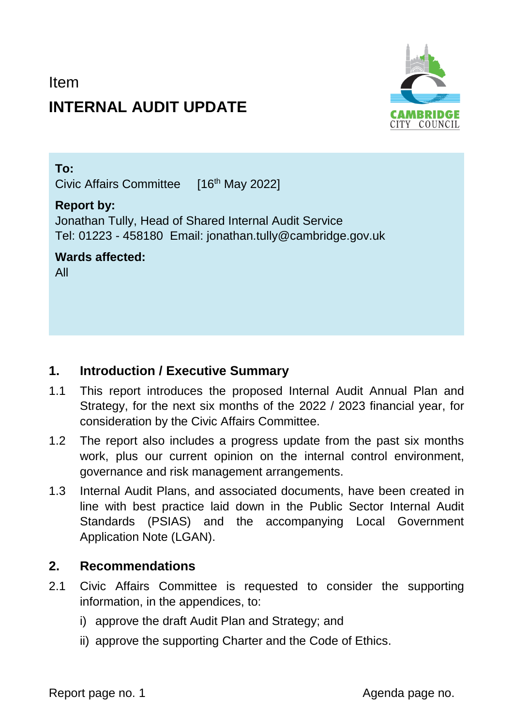# Item **INTERNAL AUDIT UPDATE**



#### **To:**

Civic Affairs Committee [16 th May 2022]

#### **Report by:**

Jonathan Tully, Head of Shared Internal Audit Service Tel: 01223 - 458180 Email: jonathan.tully@cambridge.gov.uk

**Wards affected:**  All

## **1. Introduction / Executive Summary**

- 1.1 This report introduces the proposed Internal Audit Annual Plan and Strategy, for the next six months of the 2022 / 2023 financial year, for consideration by the Civic Affairs Committee.
- 1.2 The report also includes a progress update from the past six months work, plus our current opinion on the internal control environment, governance and risk management arrangements.
- 1.3 Internal Audit Plans, and associated documents, have been created in line with best practice laid down in the Public Sector Internal Audit Standards (PSIAS) and the accompanying Local Government Application Note (LGAN).

## **2. Recommendations**

- 2.1 Civic Affairs Committee is requested to consider the supporting information, in the appendices, to:
	- i) approve the draft Audit Plan and Strategy; and
	- ii) approve the supporting Charter and the Code of Ethics.

Report page no. 1 and 1 and 2 and 2 and 2 and 2 and 2 and 2 and 2 and 2 and 2 and 2 and 2 and 2 and 2 and 2 and 2 and 2 and 2 and 2 and 2 and 2 and 2 and 2 and 2 and 2 and 2 and 2 and 2 and 2 and 2 and 2 and 2 and 2 and 2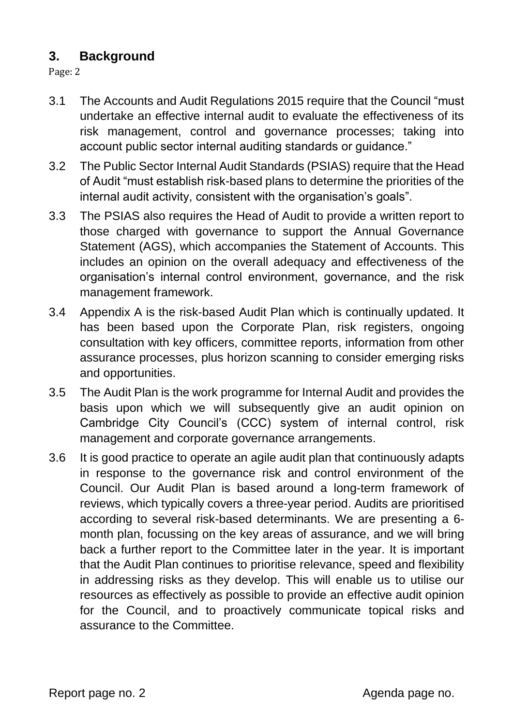## **3. Background**

Page: 2

- 3.1 The Accounts and Audit Regulations 2015 require that the Council "must undertake an effective internal audit to evaluate the effectiveness of its risk management, control and governance processes; taking into account public sector internal auditing standards or guidance."
- 3.2 The Public Sector Internal Audit Standards (PSIAS) require that the Head of Audit "must establish risk-based plans to determine the priorities of the internal audit activity, consistent with the organisation's goals".
- 3.3 The PSIAS also requires the Head of Audit to provide a written report to those charged with governance to support the Annual Governance Statement (AGS), which accompanies the Statement of Accounts. This includes an opinion on the overall adequacy and effectiveness of the organisation's internal control environment, governance, and the risk management framework.
- 3.4 Appendix A is the risk-based Audit Plan which is continually updated. It has been based upon the Corporate Plan, risk registers, ongoing consultation with key officers, committee reports, information from other assurance processes, plus horizon scanning to consider emerging risks and opportunities.
- 3.5 The Audit Plan is the work programme for Internal Audit and provides the basis upon which we will subsequently give an audit opinion on Cambridge City Council's (CCC) system of internal control, risk management and corporate governance arrangements.
- 3.6 It is good practice to operate an agile audit plan that continuously adapts in response to the governance risk and control environment of the Council. Our Audit Plan is based around a long-term framework of reviews, which typically covers a three-year period. Audits are prioritised according to several risk-based determinants. We are presenting a 6 month plan, focussing on the key areas of assurance, and we will bring back a further report to the Committee later in the year. It is important that the Audit Plan continues to prioritise relevance, speed and flexibility in addressing risks as they develop. This will enable us to utilise our resources as effectively as possible to provide an effective audit opinion for the Council, and to proactively communicate topical risks and assurance to the Committee.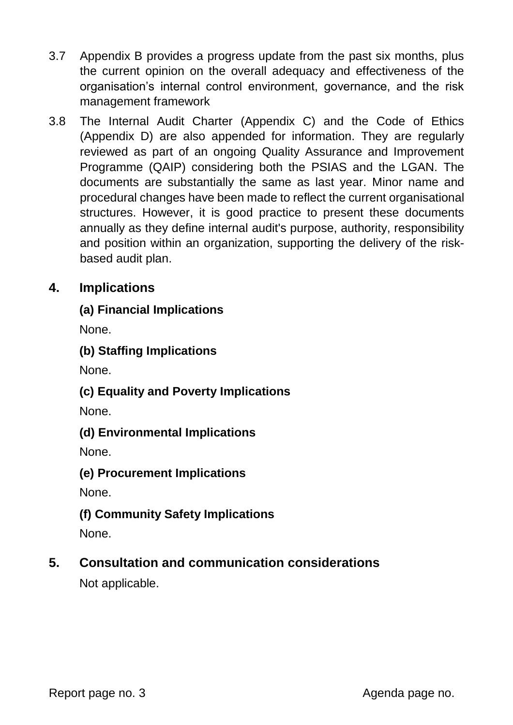- 3.7 Appendix B provides a progress update from the past six months, plus the current opinion on the overall adequacy and effectiveness of the organisation's internal control environment, governance, and the risk management framework
- 3.8 The Internal Audit Charter (Appendix C) and the Code of Ethics (Appendix D) are also appended for information. They are regularly reviewed as part of an ongoing Quality Assurance and Improvement Programme (QAIP) considering both the PSIAS and the LGAN. The documents are substantially the same as last year. Minor name and procedural changes have been made to reflect the current organisational structures. However, it is good practice to present these documents annually as they define internal audit's purpose, authority, responsibility and position within an organization, supporting the delivery of the riskbased audit plan.

## **4. Implications**

### **(a) Financial Implications**

None.

**(b) Staffing Implications**

None.

#### **(c) Equality and Poverty Implications**

None.

#### **(d) Environmental Implications**

None.

#### **(e) Procurement Implications**

None.

## **(f) Community Safety Implications**

None.

## **5. Consultation and communication considerations**

Not applicable.